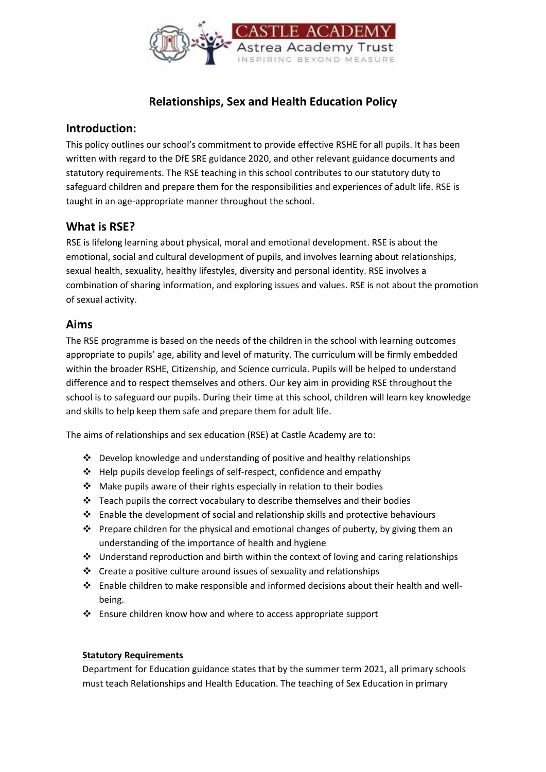

# **Relationships, Sex and Health Education Policy**

#### **Introduction:**

This policy outlines our school's commitment to provide effective RSHE for all pupils. It has been written with regard to the DfE SRE guidance 2020, and other relevant guidance documents and statutory requirements. The RSE teaching in this school contributes to our statutory duty to safeguard children and prepare them for the responsibilities and experiences of adult life. RSE is taught in an age-appropriate manner throughout the school.

### **What is RSE?**

RSE is lifelong learning about physical, moral and emotional development. RSE is about the emotional, social and cultural development of pupils, and involves learning about relationships, sexual health, sexuality, healthy lifestyles, diversity and personal identity. RSE involves a combination of sharing information, and exploring issues and values. RSE is not about the promotion of sexual activity.

#### **Aims**

The RSE programme is based on the needs of the children in the school with learning outcomes appropriate to pupils' age, ability and level of maturity. The curriculum will be firmly embedded within the broader RSHE, Citizenship, and Science curricula. Pupils will be helped to understand difference and to respect themselves and others. Our key aim in providing RSE throughout the school is to safeguard our pupils. During their time at this school, children will learn key knowledge and skills to help keep them safe and prepare them for adult life.

The aims of relationships and sex education (RSE) at Castle Academy are to:

- $\cdot$  Develop knowledge and understanding of positive and healthy relationships
- $\triangleleft$  Help pupils develop feelings of self-respect, confidence and empathy
- Make pupils aware of their rights especially in relation to their bodies
- $\cdot$  Teach pupils the correct vocabulary to describe themselves and their bodies
- $\div$  Enable the development of social and relationship skills and protective behaviours
- $\cdot$  Prepare children for the physical and emotional changes of puberty, by giving them an understanding of the importance of health and hygiene
- $\cdot \cdot$  Understand reproduction and birth within the context of loving and caring relationships
- $\cdot$  Create a positive culture around issues of sexuality and relationships
- Enable children to make responsible and informed decisions about their health and wellbeing.
- $\cdot$  Ensure children know how and where to access appropriate support

#### **Statutory Requirements**

Department for Education guidance states that by the summer term 2021, all primary schools must teach Relationships and Health Education. The teaching of Sex Education in primary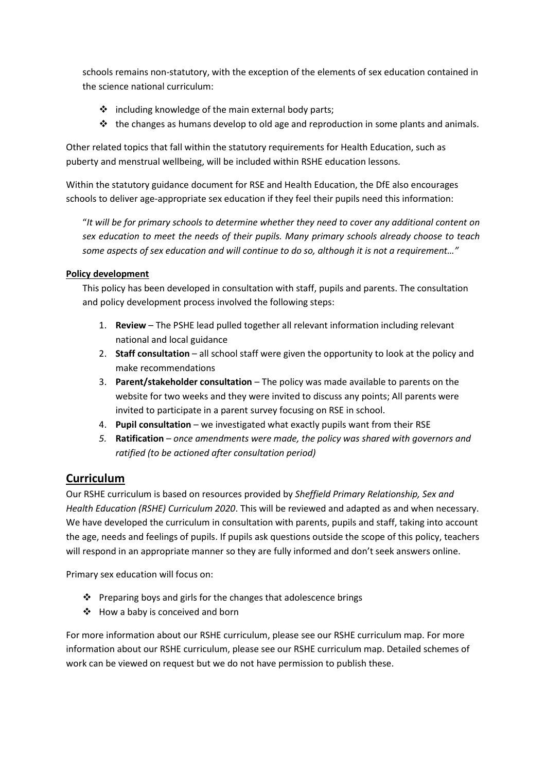schools remains non-statutory, with the exception of the elements of sex education contained in the science national curriculum:

- $\cdot \cdot$  including knowledge of the main external body parts;
- $\div$  the changes as humans develop to old age and reproduction in some plants and animals.

Other related topics that fall within the statutory requirements for Health Education, such as puberty and menstrual wellbeing, will be included within RSHE education lessons.

Within the statutory guidance document for RSE and Health Education, the DfE also encourages schools to deliver age-appropriate sex education if they feel their pupils need this information:

"*It will be for primary schools to determine whether they need to cover any additional content on sex education to meet the needs of their pupils. Many primary schools already choose to teach some aspects of sex education and will continue to do so, although it is not a requirement…"*

#### **Policy development**

This policy has been developed in consultation with staff, pupils and parents. The consultation and policy development process involved the following steps:

- 1. **Review** The PSHE lead pulled together all relevant information including relevant national and local guidance
- 2. **Staff consultation** all school staff were given the opportunity to look at the policy and make recommendations
- 3. **Parent/stakeholder consultation** The policy was made available to parents on the website for two weeks and they were invited to discuss any points; All parents were invited to participate in a parent survey focusing on RSE in school.
- 4. **Pupil consultation** we investigated what exactly pupils want from their RSE
- *5.* **Ratification** *– once amendments were made, the policy was shared with governors and ratified (to be actioned after consultation period)*

## **Curriculum**

Our RSHE curriculum is based on resources provided by *Sheffield Primary Relationship, Sex and Health Education (RSHE) Curriculum 2020*. This will be reviewed and adapted as and when necessary. We have developed the curriculum in consultation with parents, pupils and staff, taking into account the age, needs and feelings of pupils. If pupils ask questions outside the scope of this policy, teachers will respond in an appropriate manner so they are fully informed and don't seek answers online.

Primary sex education will focus on:

- ❖ Preparing boys and girls for the changes that adolescence brings
- $\div$  How a baby is conceived and born

For more information about our RSHE curriculum, please see our RSHE curriculum map. For more information about our RSHE curriculum, please see our RSHE curriculum map. Detailed schemes of work can be viewed on request but we do not have permission to publish these.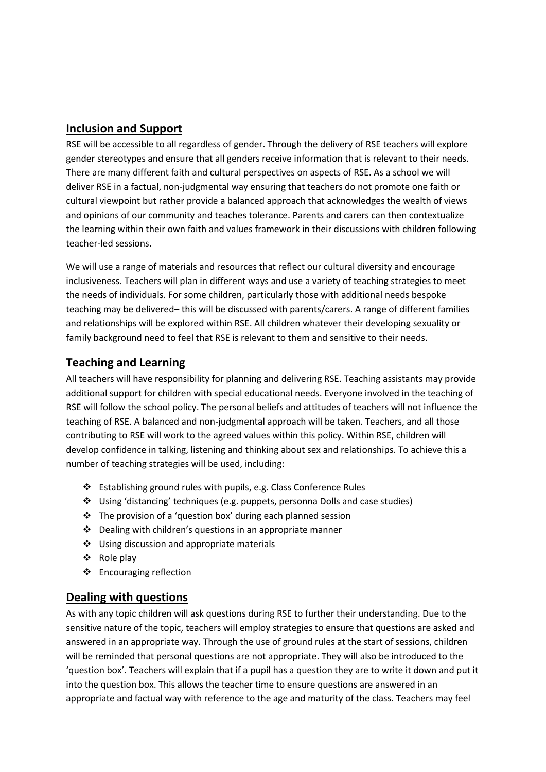### **Inclusion and Support**

RSE will be accessible to all regardless of gender. Through the delivery of RSE teachers will explore gender stereotypes and ensure that all genders receive information that is relevant to their needs. There are many different faith and cultural perspectives on aspects of RSE. As a school we will deliver RSE in a factual, non-judgmental way ensuring that teachers do not promote one faith or cultural viewpoint but rather provide a balanced approach that acknowledges the wealth of views and opinions of our community and teaches tolerance. Parents and carers can then contextualize the learning within their own faith and values framework in their discussions with children following teacher-led sessions.

We will use a range of materials and resources that reflect our cultural diversity and encourage inclusiveness. Teachers will plan in different ways and use a variety of teaching strategies to meet the needs of individuals. For some children, particularly those with additional needs bespoke teaching may be delivered– this will be discussed with parents/carers. A range of different families and relationships will be explored within RSE. All children whatever their developing sexuality or family background need to feel that RSE is relevant to them and sensitive to their needs.

### **Teaching and Learning**

All teachers will have responsibility for planning and delivering RSE. Teaching assistants may provide additional support for children with special educational needs. Everyone involved in the teaching of RSE will follow the school policy. The personal beliefs and attitudes of teachers will not influence the teaching of RSE. A balanced and non-judgmental approach will be taken. Teachers, and all those contributing to RSE will work to the agreed values within this policy. Within RSE, children will develop confidence in talking, listening and thinking about sex and relationships. To achieve this a number of teaching strategies will be used, including:

- Establishing ground rules with pupils, e.g. Class Conference Rules
- Using 'distancing' techniques (e.g. puppets, personna Dolls and case studies)
- The provision of a 'question box' during each planned session
- Dealing with children's questions in an appropriate manner
- Using discussion and appropriate materials
- ❖ Role play
- ❖ Encouraging reflection

### **Dealing with questions**

As with any topic children will ask questions during RSE to further their understanding. Due to the sensitive nature of the topic, teachers will employ strategies to ensure that questions are asked and answered in an appropriate way. Through the use of ground rules at the start of sessions, children will be reminded that personal questions are not appropriate. They will also be introduced to the 'question box'. Teachers will explain that if a pupil has a question they are to write it down and put it into the question box. This allows the teacher time to ensure questions are answered in an appropriate and factual way with reference to the age and maturity of the class. Teachers may feel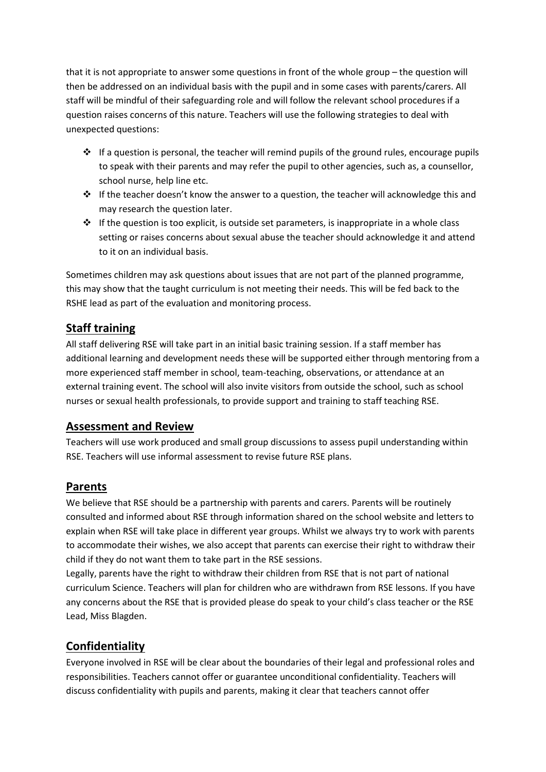that it is not appropriate to answer some questions in front of the whole group – the question will then be addressed on an individual basis with the pupil and in some cases with parents/carers. All staff will be mindful of their safeguarding role and will follow the relevant school procedures if a question raises concerns of this nature. Teachers will use the following strategies to deal with unexpected questions:

- $\div$  If a question is personal, the teacher will remind pupils of the ground rules, encourage pupils to speak with their parents and may refer the pupil to other agencies, such as, a counsellor, school nurse, help line etc.
- \* If the teacher doesn't know the answer to a question, the teacher will acknowledge this and may research the question later.
- $\div$  If the question is too explicit, is outside set parameters, is inappropriate in a whole class setting or raises concerns about sexual abuse the teacher should acknowledge it and attend to it on an individual basis.

Sometimes children may ask questions about issues that are not part of the planned programme, this may show that the taught curriculum is not meeting their needs. This will be fed back to the RSHE lead as part of the evaluation and monitoring process.

## **Staff training**

All staff delivering RSE will take part in an initial basic training session. If a staff member has additional learning and development needs these will be supported either through mentoring from a more experienced staff member in school, team-teaching, observations, or attendance at an external training event. The school will also invite visitors from outside the school, such as school nurses or sexual health professionals, to provide support and training to staff teaching RSE.

### **Assessment and Review**

Teachers will use work produced and small group discussions to assess pupil understanding within RSE. Teachers will use informal assessment to revise future RSE plans.

### **Parents**

We believe that RSE should be a partnership with parents and carers. Parents will be routinely consulted and informed about RSE through information shared on the school website and letters to explain when RSE will take place in different year groups. Whilst we always try to work with parents to accommodate their wishes, we also accept that parents can exercise their right to withdraw their child if they do not want them to take part in the RSE sessions.

Legally, parents have the right to withdraw their children from RSE that is not part of national curriculum Science. Teachers will plan for children who are withdrawn from RSE lessons. If you have any concerns about the RSE that is provided please do speak to your child's class teacher or the RSE Lead, Miss Blagden.

## **Confidentiality**

Everyone involved in RSE will be clear about the boundaries of their legal and professional roles and responsibilities. Teachers cannot offer or guarantee unconditional confidentiality. Teachers will discuss confidentiality with pupils and parents, making it clear that teachers cannot offer